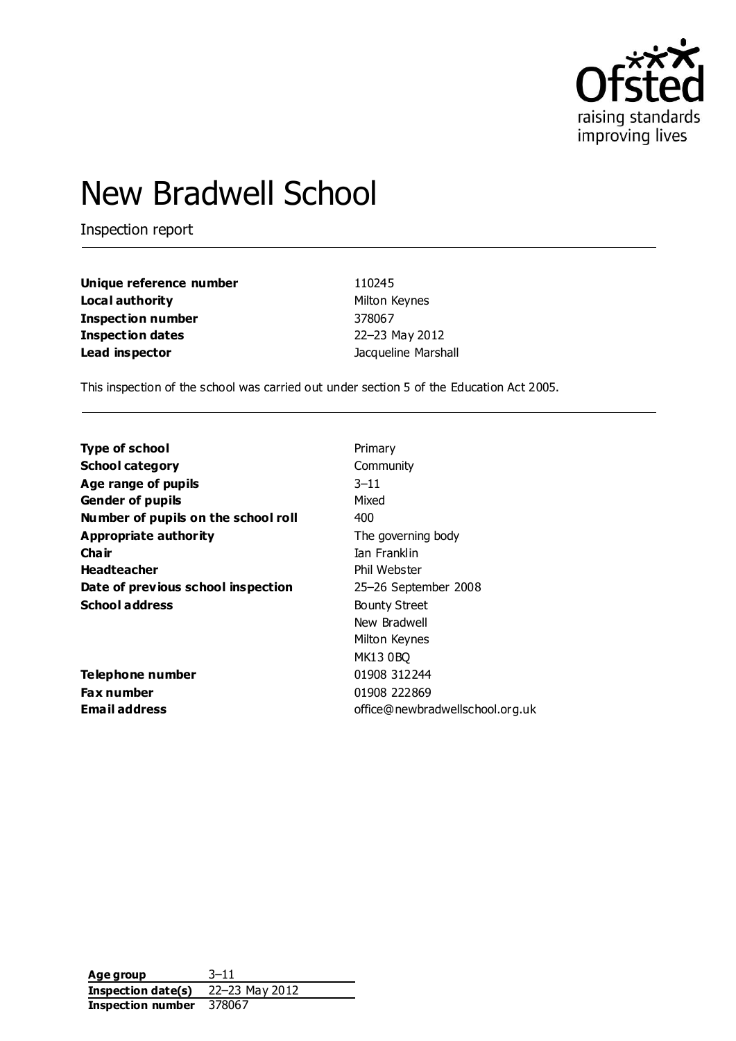

# New Bradwell School

Inspection report

| Unique reference number  | 110245              |
|--------------------------|---------------------|
| Local authority          | Milton Keynes       |
| <b>Inspection number</b> | 378067              |
| <b>Inspection dates</b>  | 22-23 May 2012      |
| Lead inspector           | Jacqueline Marshall |

This inspection of the school was carried out under section 5 of the Education Act 2005.

| <b>Type of school</b>               | Primary                         |
|-------------------------------------|---------------------------------|
| <b>School category</b>              | Community                       |
| Age range of pupils                 | $3 - 11$                        |
| <b>Gender of pupils</b>             | Mixed                           |
| Number of pupils on the school roll | 400                             |
| Appropriate authority               | The governing body              |
| Cha ir                              | Ian Franklin                    |
| <b>Headteacher</b>                  | Phil Webster                    |
| Date of previous school inspection  | 25-26 September 2008            |
| <b>School address</b>               | <b>Bounty Street</b>            |
|                                     | New Bradwell                    |
|                                     | Milton Keynes                   |
|                                     | <b>MK13 0BQ</b>                 |
| Telephone number                    | 01908 312244                    |
| <b>Fax number</b>                   | 01908 222869                    |
| Email address                       | office@newbradwellschool.org.uk |

**Age group** 3–11 **Inspection date(s)** 22–23 May 2012 **Inspection number** 378067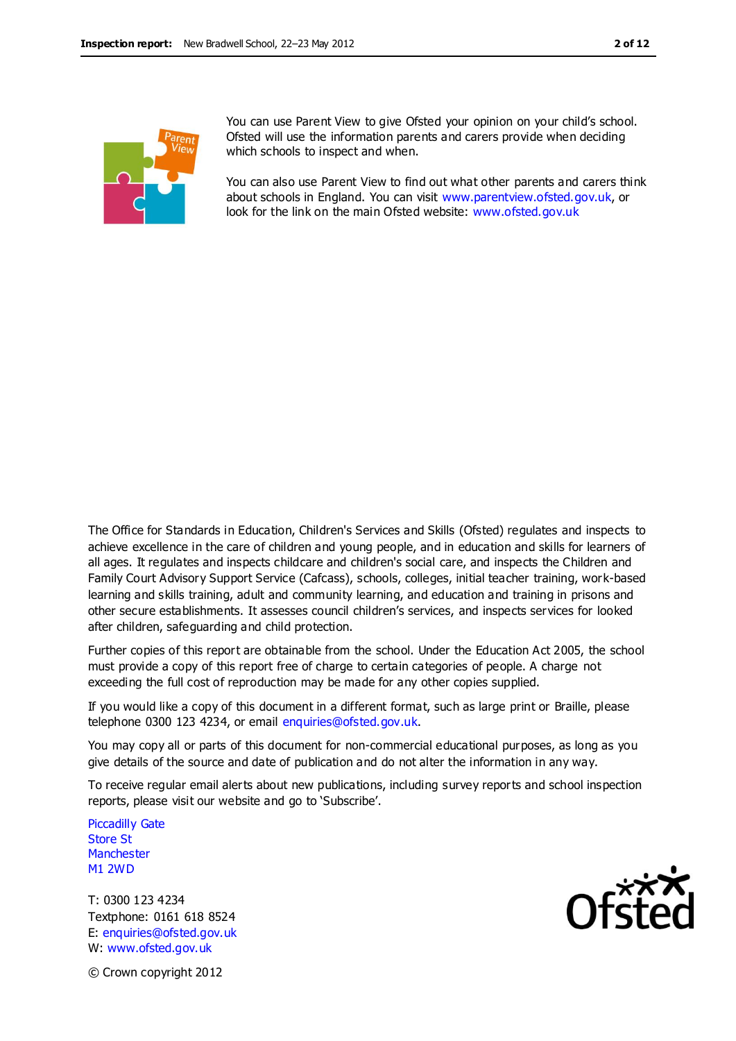

You can use Parent View to give Ofsted your opinion on your child's school. Ofsted will use the information parents and carers provide when deciding which schools to inspect and when.

You can also use Parent View to find out what other parents and carers think about schools in England. You can visit [www.parentview.ofsted.gov.uk,](http://www.parentview.ofsted.gov.uk/) or look for the link on the main Ofsted website: [www.ofsted.gov.uk](http://www.ofsted.gov.uk/)

The Office for Standards in Education, Children's Services and Skills (Ofsted) regulates and inspects to achieve excellence in the care of children and young people, and in education and skills for learners of all ages. It regulates and inspects childcare and children's social care, and inspects the Children and Family Court Advisory Support Service (Cafcass), schools, colleges, initial teacher training, work-based learning and skills training, adult and community learning, and education and training in prisons and other secure establishments. It assesses council children's services, and inspects services for looked after children, safeguarding and child protection.

Further copies of this report are obtainable from the school. Under the Education Act 2005, the school must provide a copy of this report free of charge to certain categories of people. A charge not exceeding the full cost of reproduction may be made for any other copies supplied.

If you would like a copy of this document in a different format, such as large print or Braille, please telephone 0300 123 4234, or email enquiries@ofsted.gov.uk.

You may copy all or parts of this document for non-commercial educational purposes, as long as you give details of the source and date of publication and do not alter the information in any way.

To receive regular email alerts about new publications, including survey reports and school inspection reports, please visit our website and go to 'Subscribe'.

Piccadilly Gate Store St **Manchester** M1 2WD

T: 0300 123 4234 Textphone: 0161 618 8524 E: enquiries@ofsted.gov.uk W: www.ofsted.gov.uk



© Crown copyright 2012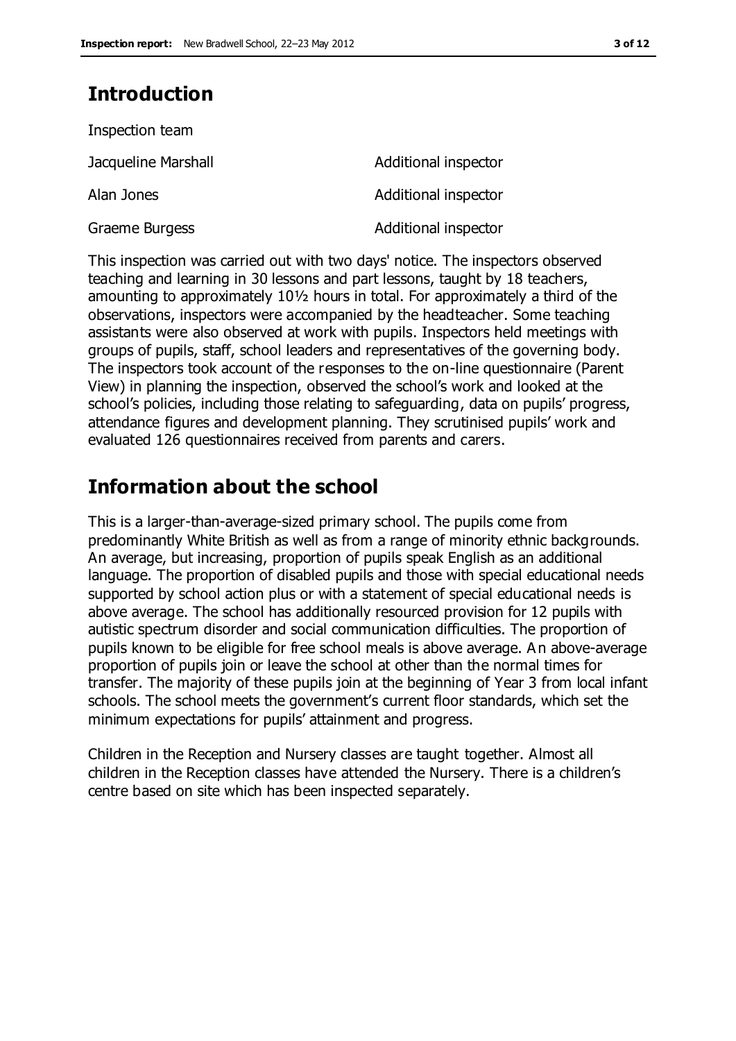## **Introduction**

| Inspection team     |                      |
|---------------------|----------------------|
| Jacqueline Marshall | Additional inspector |
| Alan Jones          | Additional inspector |
| Graeme Burgess      | Additional inspector |

This inspection was carried out with two days' notice. The inspectors observed teaching and learning in 30 lessons and part lessons, taught by 18 teachers, amounting to approximately 10½ hours in total. For approximately a third of the observations, inspectors were accompanied by the headteacher. Some teaching assistants were also observed at work with pupils. Inspectors held meetings with groups of pupils, staff, school leaders and representatives of the governing body. The inspectors took account of the responses to the on-line questionnaire (Parent View) in planning the inspection, observed the school's work and looked at the school's policies, including those relating to safeguarding, data on pupils' progress, attendance figures and development planning. They scrutinised pupils' work and evaluated 126 questionnaires received from parents and carers.

## **Information about the school**

This is a larger-than-average-sized primary school. The pupils come from predominantly White British as well as from a range of minority ethnic backgrounds. An average, but increasing, proportion of pupils speak English as an additional language. The proportion of disabled pupils and those with special educational needs supported by school action plus or with a statement of special educational needs is above average. The school has additionally resourced provision for 12 pupils with autistic spectrum disorder and social communication difficulties. The proportion of pupils known to be eligible for free school meals is above average. An above-average proportion of pupils join or leave the school at other than the normal times for transfer. The majority of these pupils join at the beginning of Year 3 from local infant schools. The school meets the government's current floor standards, which set the minimum expectations for pupils' attainment and progress.

Children in the Reception and Nursery classes are taught together. Almost all children in the Reception classes have attended the Nursery. There is a children's centre based on site which has been inspected separately.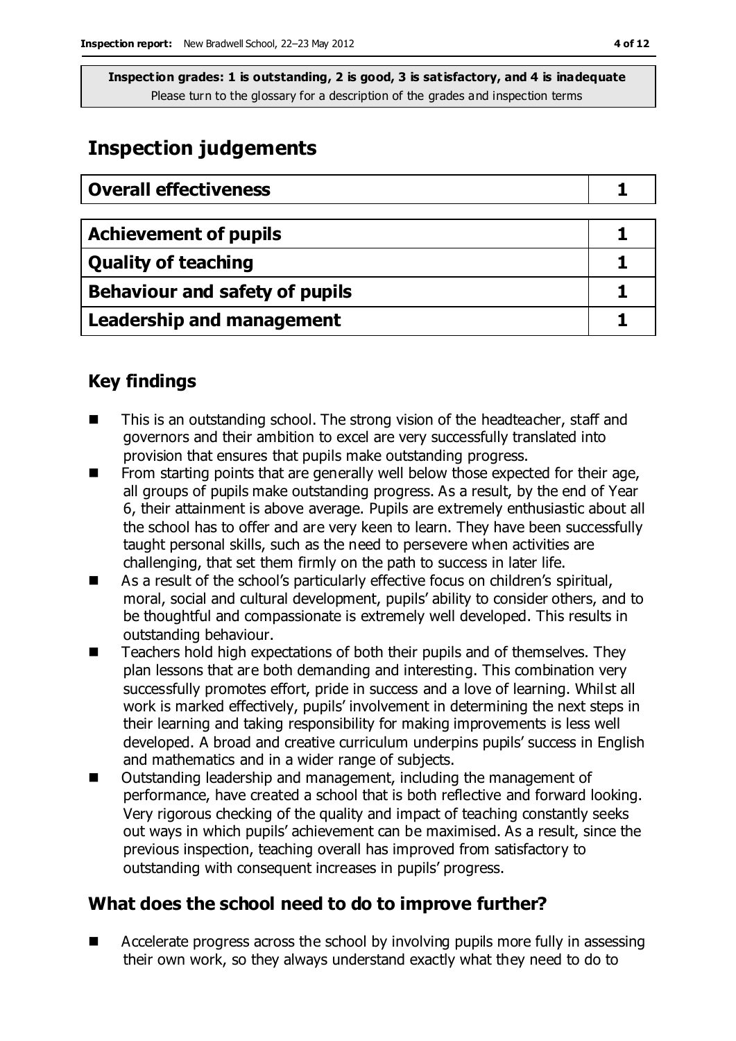## **Inspection judgements**

| <b>Overall effectiveness</b>     |  |
|----------------------------------|--|
|                                  |  |
| <b>Achievement of pupils</b>     |  |
| <b>Quality of teaching</b>       |  |
| Behaviour and safety of pupils   |  |
| <b>Leadership and management</b> |  |

## **Key findings**

- This is an outstanding school. The strong vision of the headteacher, staff and governors and their ambition to excel are very successfully translated into provision that ensures that pupils make outstanding progress.
- $\blacksquare$  From starting points that are generally well below those expected for their age, all groups of pupils make outstanding progress. As a result, by the end of Year 6, their attainment is above average. Pupils are extremely enthusiastic about all the school has to offer and are very keen to learn. They have been successfully taught personal skills, such as the need to persevere when activities are challenging, that set them firmly on the path to success in later life.
- As a result of the school's particularly effective focus on children's spiritual, moral, social and cultural development, pupils' ability to consider others, and to be thoughtful and compassionate is extremely well developed. This results in outstanding behaviour.
- Teachers hold high expectations of both their pupils and of themselves. They plan lessons that are both demanding and interesting. This combination very successfully promotes effort, pride in success and a love of learning. Whilst all work is marked effectively, pupils' involvement in determining the next steps in their learning and taking responsibility for making improvements is less well developed. A broad and creative curriculum underpins pupils' success in English and mathematics and in a wider range of subjects.
- Outstanding leadership and management, including the management of performance, have created a school that is both reflective and forward looking. Very rigorous checking of the quality and impact of teaching constantly seeks out ways in which pupils' achievement can be maximised. As a result, since the previous inspection, teaching overall has improved from satisfactory to outstanding with consequent increases in pupils' progress.

## **What does the school need to do to improve further?**

■ Accelerate progress across the school by involving pupils more fully in assessing their own work, so they always understand exactly what they need to do to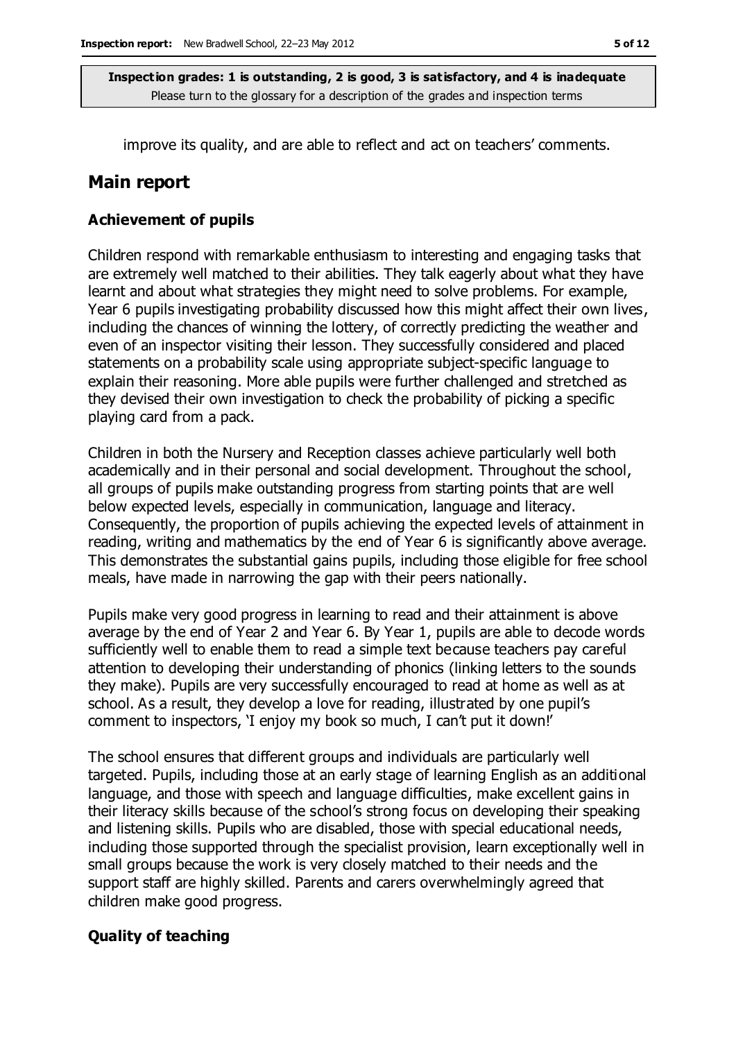improve its quality, and are able to reflect and act on teachers' comments.

### **Main report**

#### **Achievement of pupils**

Children respond with remarkable enthusiasm to interesting and engaging tasks that are extremely well matched to their abilities. They talk eagerly about what they have learnt and about what strategies they might need to solve problems. For example, Year 6 pupils investigating probability discussed how this might affect their own lives, including the chances of winning the lottery, of correctly predicting the weather and even of an inspector visiting their lesson. They successfully considered and placed statements on a probability scale using appropriate subject-specific language to explain their reasoning. More able pupils were further challenged and stretched as they devised their own investigation to check the probability of picking a specific playing card from a pack.

Children in both the Nursery and Reception classes achieve particularly well both academically and in their personal and social development. Throughout the school, all groups of pupils make outstanding progress from starting points that are well below expected levels, especially in communication, language and literacy. Consequently, the proportion of pupils achieving the expected levels of attainment in reading, writing and mathematics by the end of Year 6 is significantly above average. This demonstrates the substantial gains pupils, including those eligible for free school meals, have made in narrowing the gap with their peers nationally.

Pupils make very good progress in learning to read and their attainment is above average by the end of Year 2 and Year 6. By Year 1, pupils are able to decode words sufficiently well to enable them to read a simple text because teachers pay careful attention to developing their understanding of phonics (linking letters to the sounds they make). Pupils are very successfully encouraged to read at home as well as at school. As a result, they develop a love for reading, illustrated by one pupil's comment to inspectors, 'I enjoy my book so much, I can't put it down!'

The school ensures that different groups and individuals are particularly well targeted. Pupils, including those at an early stage of learning English as an additional language, and those with speech and language difficulties, make excellent gains in their literacy skills because of the school's strong focus on developing their speaking and listening skills. Pupils who are disabled, those with special educational needs, including those supported through the specialist provision, learn exceptionally well in small groups because the work is very closely matched to their needs and the support staff are highly skilled. Parents and carers overwhelmingly agreed that children make good progress.

#### **Quality of teaching**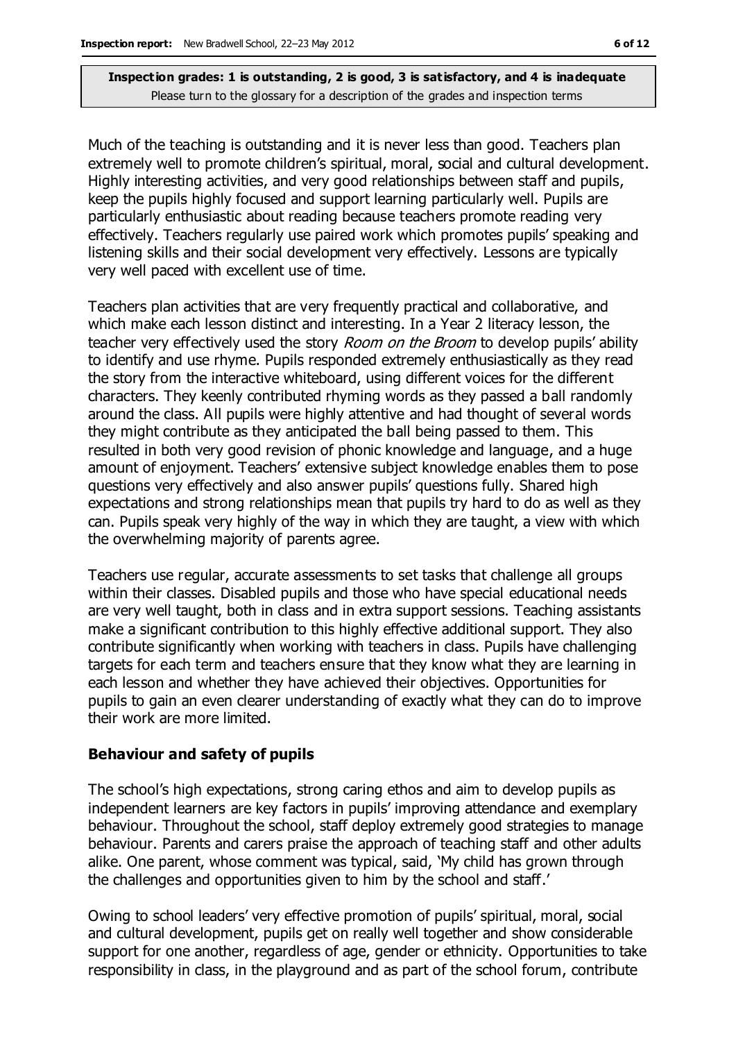Much of the teaching is outstanding and it is never less than good. Teachers plan extremely well to promote children's spiritual, moral, social and cultural development. Highly interesting activities, and very good relationships between staff and pupils, keep the pupils highly focused and support learning particularly well. Pupils are particularly enthusiastic about reading because teachers promote reading very effectively. Teachers regularly use paired work which promotes pupils' speaking and listening skills and their social development very effectively. Lessons are typically very well paced with excellent use of time.

Teachers plan activities that are very frequently practical and collaborative, and which make each lesson distinct and interesting. In a Year 2 literacy lesson, the teacher very effectively used the story *Room on the Broom* to develop pupils' ability to identify and use rhyme. Pupils responded extremely enthusiastically as they read the story from the interactive whiteboard, using different voices for the different characters. They keenly contributed rhyming words as they passed a ball randomly around the class. All pupils were highly attentive and had thought of several words they might contribute as they anticipated the ball being passed to them. This resulted in both very good revision of phonic knowledge and language, and a huge amount of enjoyment. Teachers' extensive subject knowledge enables them to pose questions very effectively and also answer pupils' questions fully. Shared high expectations and strong relationships mean that pupils try hard to do as well as they can. Pupils speak very highly of the way in which they are taught, a view with which the overwhelming majority of parents agree.

Teachers use regular, accurate assessments to set tasks that challenge all groups within their classes. Disabled pupils and those who have special educational needs are very well taught, both in class and in extra support sessions. Teaching assistants make a significant contribution to this highly effective additional support. They also contribute significantly when working with teachers in class. Pupils have challenging targets for each term and teachers ensure that they know what they are learning in each lesson and whether they have achieved their objectives. Opportunities for pupils to gain an even clearer understanding of exactly what they can do to improve their work are more limited.

#### **Behaviour and safety of pupils**

The school's high expectations, strong caring ethos and aim to develop pupils as independent learners are key factors in pupils' improving attendance and exemplary behaviour. Throughout the school, staff deploy extremely good strategies to manage behaviour. Parents and carers praise the approach of teaching staff and other adults alike. One parent, whose comment was typical, said, 'My child has grown through the challenges and opportunities given to him by the school and staff.'

Owing to school leaders' very effective promotion of pupils' spiritual, moral, social and cultural development, pupils get on really well together and show considerable support for one another, regardless of age, gender or ethnicity. Opportunities to take responsibility in class, in the playground and as part of the school forum, contribute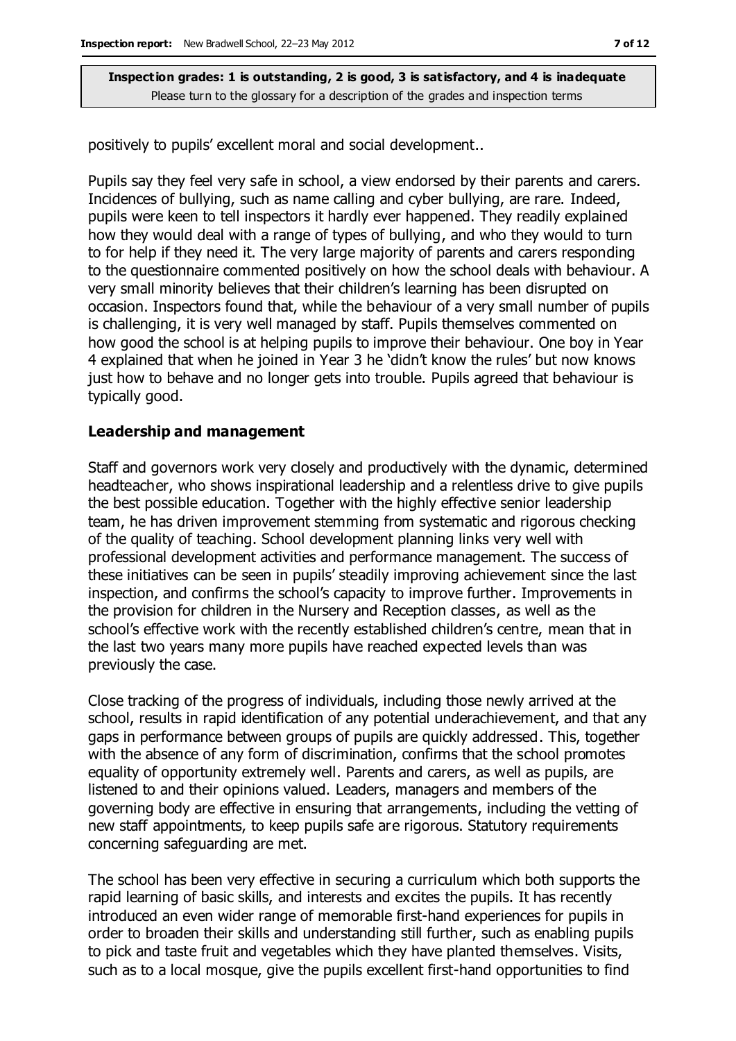positively to pupils' excellent moral and social development..

Pupils say they feel very safe in school, a view endorsed by their parents and carers. Incidences of bullying, such as name calling and cyber bullying, are rare. Indeed, pupils were keen to tell inspectors it hardly ever happened. They readily explained how they would deal with a range of types of bullying, and who they would to turn to for help if they need it. The very large majority of parents and carers responding to the questionnaire commented positively on how the school deals with behaviour. A very small minority believes that their children's learning has been disrupted on occasion. Inspectors found that, while the behaviour of a very small number of pupils is challenging, it is very well managed by staff. Pupils themselves commented on how good the school is at helping pupils to improve their behaviour. One boy in Year 4 explained that when he joined in Year 3 he 'didn't know the rules' but now knows just how to behave and no longer gets into trouble. Pupils agreed that behaviour is typically good.

#### **Leadership and management**

Staff and governors work very closely and productively with the dynamic, determined headteacher, who shows inspirational leadership and a relentless drive to give pupils the best possible education. Together with the highly effective senior leadership team, he has driven improvement stemming from systematic and rigorous checking of the quality of teaching. School development planning links very well with professional development activities and performance management. The success of these initiatives can be seen in pupils' steadily improving achievement since the last inspection, and confirms the school's capacity to improve further. Improvements in the provision for children in the Nursery and Reception classes, as well as the school's effective work with the recently established children's centre, mean that in the last two years many more pupils have reached expected levels than was previously the case.

Close tracking of the progress of individuals, including those newly arrived at the school, results in rapid identification of any potential underachievement, and that any gaps in performance between groups of pupils are quickly addressed. This, together with the absence of any form of discrimination, confirms that the school promotes equality of opportunity extremely well. Parents and carers, as well as pupils, are listened to and their opinions valued. Leaders, managers and members of the governing body are effective in ensuring that arrangements, including the vetting of new staff appointments, to keep pupils safe are rigorous. Statutory requirements concerning safeguarding are met.

The school has been very effective in securing a curriculum which both supports the rapid learning of basic skills, and interests and excites the pupils. It has recently introduced an even wider range of memorable first-hand experiences for pupils in order to broaden their skills and understanding still further, such as enabling pupils to pick and taste fruit and vegetables which they have planted themselves. Visits, such as to a local mosque, give the pupils excellent first-hand opportunities to find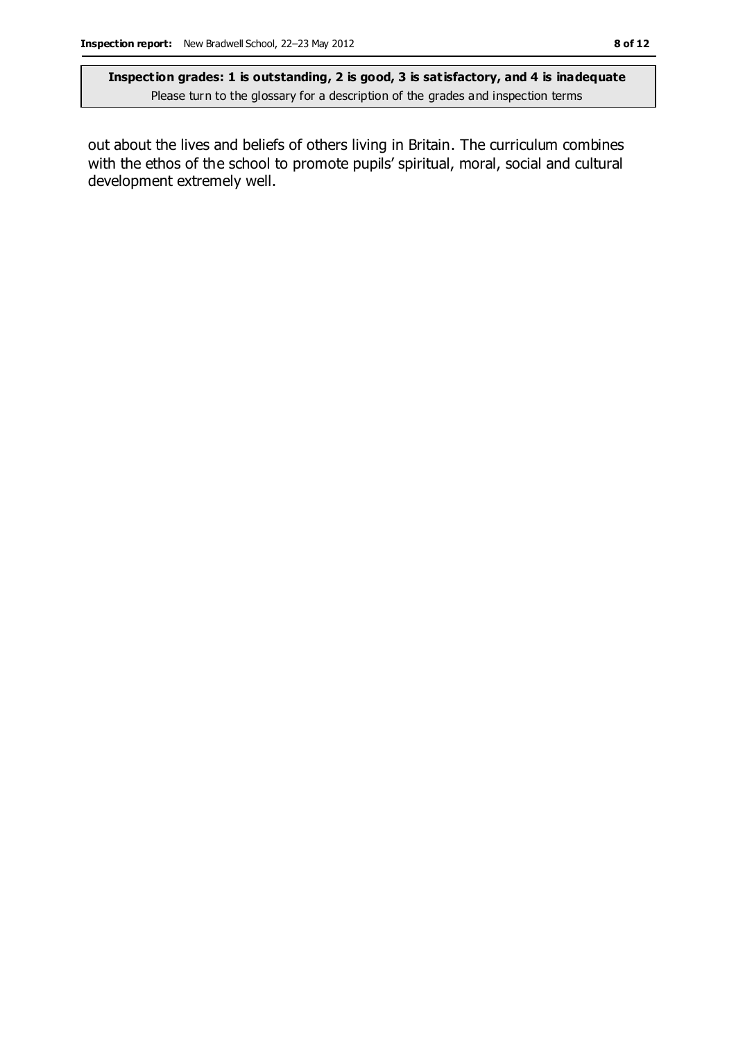out about the lives and beliefs of others living in Britain. The curriculum combines with the ethos of the school to promote pupils' spiritual, moral, social and cultural development extremely well.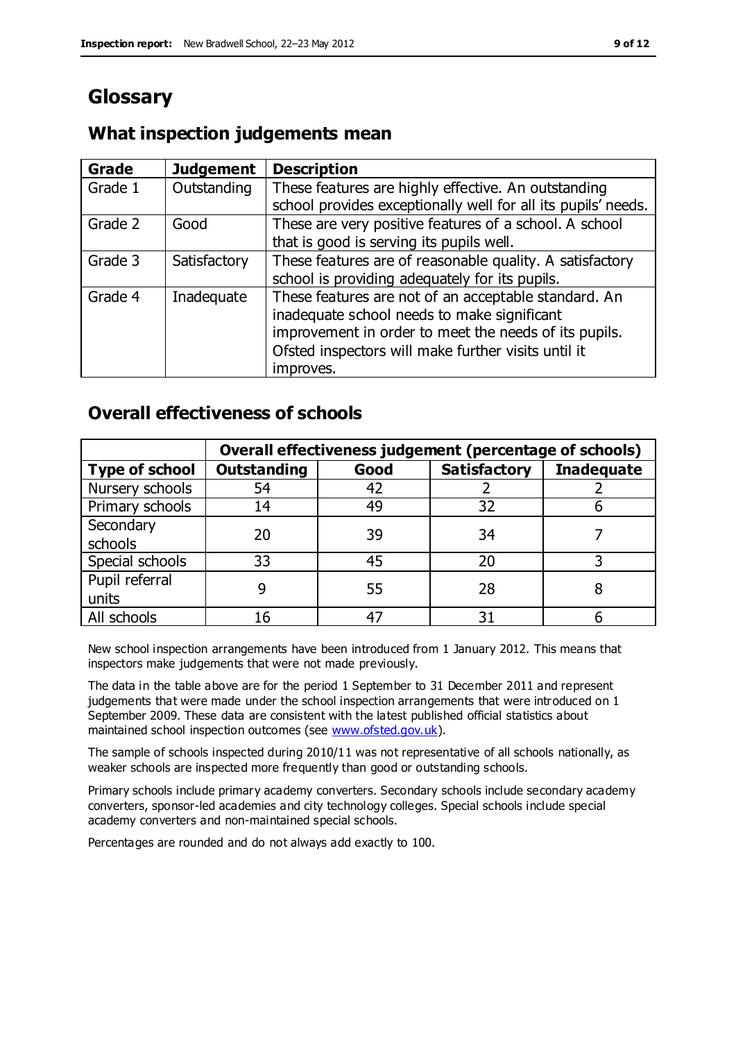## **Glossary**

## **What inspection judgements mean**

| Grade   | <b>Judgement</b> | <b>Description</b>                                            |
|---------|------------------|---------------------------------------------------------------|
| Grade 1 | Outstanding      | These features are highly effective. An outstanding           |
|         |                  | school provides exceptionally well for all its pupils' needs. |
| Grade 2 | Good             | These are very positive features of a school. A school        |
|         |                  | that is good is serving its pupils well.                      |
| Grade 3 | Satisfactory     | These features are of reasonable quality. A satisfactory      |
|         |                  | school is providing adequately for its pupils.                |
| Grade 4 | Inadequate       | These features are not of an acceptable standard. An          |
|         |                  | inadequate school needs to make significant                   |
|         |                  | improvement in order to meet the needs of its pupils.         |
|         |                  | Ofsted inspectors will make further visits until it           |
|         |                  | improves.                                                     |

## **Overall effectiveness of schools**

|                       | Overall effectiveness judgement (percentage of schools) |      |                     |                   |
|-----------------------|---------------------------------------------------------|------|---------------------|-------------------|
| <b>Type of school</b> | <b>Outstanding</b>                                      | Good | <b>Satisfactory</b> | <b>Inadequate</b> |
| Nursery schools       | 54                                                      | 42   |                     |                   |
| Primary schools       | 14                                                      | 49   | 32                  |                   |
| Secondary             | 20                                                      | 39   | 34                  |                   |
| schools               |                                                         |      |                     |                   |
| Special schools       | 33                                                      | 45   | 20                  |                   |
| Pupil referral        |                                                         | 55   | 28                  |                   |
| units                 |                                                         |      |                     |                   |
| All schools           | 16                                                      | 47   | 31                  |                   |

New school inspection arrangements have been introduced from 1 January 2012. This means that inspectors make judgements that were not made previously.

The data in the table above are for the period 1 September to 31 December 2011 and represent judgements that were made under the school inspection arrangements that were introduced on 1 September 2009. These data are consistent with the latest published official statistics about maintained school inspection outcomes (see [www.ofsted.gov.uk\)](http://www.ofsted.gov.uk/).

The sample of schools inspected during 2010/11 was not representative of all schools nationally, as weaker schools are inspected more frequently than good or outstanding schools.

Primary schools include primary academy converters. Secondary schools include secondary academy converters, sponsor-led academies and city technology colleges. Special schools include special academy converters and non-maintained special schools.

Percentages are rounded and do not always add exactly to 100.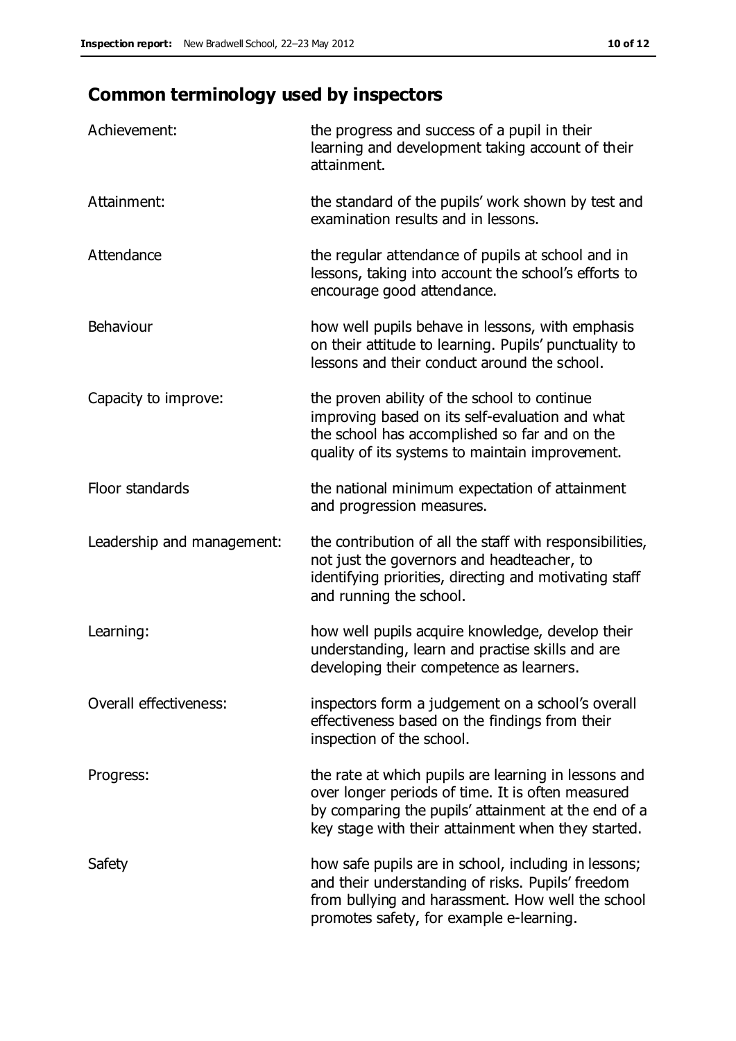## **Common terminology used by inspectors**

| Achievement:                  | the progress and success of a pupil in their<br>learning and development taking account of their<br>attainment.                                                                                                        |
|-------------------------------|------------------------------------------------------------------------------------------------------------------------------------------------------------------------------------------------------------------------|
| Attainment:                   | the standard of the pupils' work shown by test and<br>examination results and in lessons.                                                                                                                              |
| Attendance                    | the regular attendance of pupils at school and in<br>lessons, taking into account the school's efforts to<br>encourage good attendance.                                                                                |
| Behaviour                     | how well pupils behave in lessons, with emphasis<br>on their attitude to learning. Pupils' punctuality to<br>lessons and their conduct around the school.                                                              |
| Capacity to improve:          | the proven ability of the school to continue<br>improving based on its self-evaluation and what<br>the school has accomplished so far and on the<br>quality of its systems to maintain improvement.                    |
| Floor standards               | the national minimum expectation of attainment<br>and progression measures.                                                                                                                                            |
| Leadership and management:    | the contribution of all the staff with responsibilities,<br>not just the governors and headteacher, to<br>identifying priorities, directing and motivating staff<br>and running the school.                            |
| Learning:                     | how well pupils acquire knowledge, develop their<br>understanding, learn and practise skills and are<br>developing their competence as learners.                                                                       |
| <b>Overall effectiveness:</b> | inspectors form a judgement on a school's overall<br>effectiveness based on the findings from their<br>inspection of the school.                                                                                       |
| Progress:                     | the rate at which pupils are learning in lessons and<br>over longer periods of time. It is often measured<br>by comparing the pupils' attainment at the end of a<br>key stage with their attainment when they started. |
| Safety                        | how safe pupils are in school, including in lessons;<br>and their understanding of risks. Pupils' freedom<br>from bullying and harassment. How well the school<br>promotes safety, for example e-learning.             |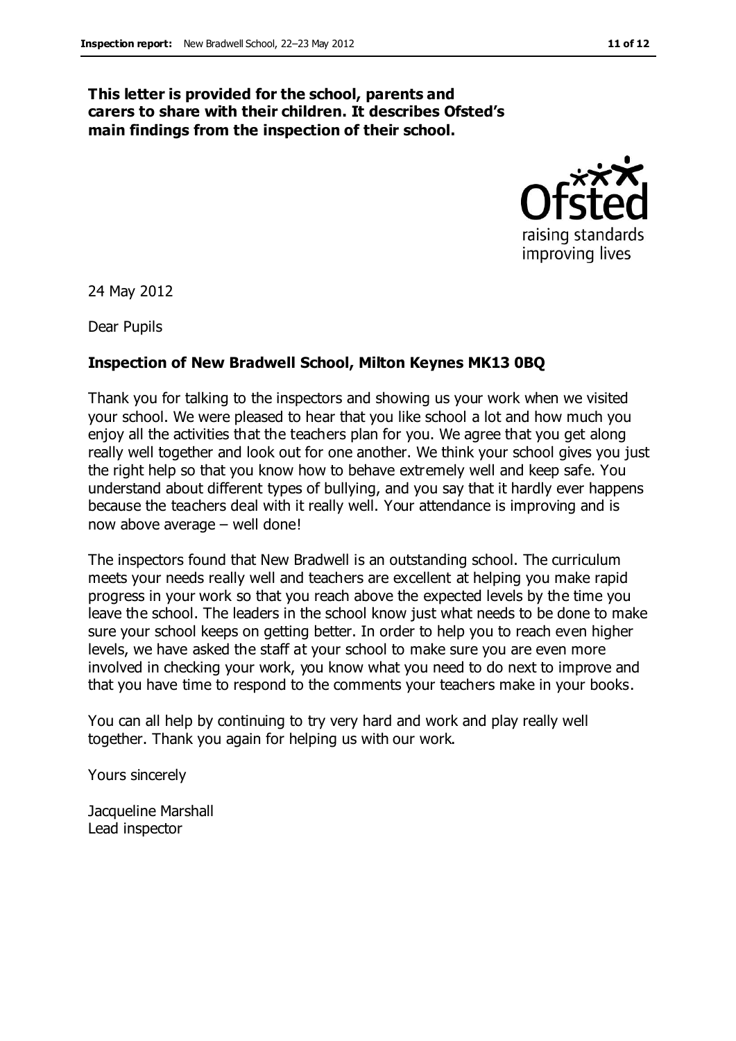### **This letter is provided for the school, parents and carers to share with their children. It describes Ofsted's main findings from the inspection of their school.**



24 May 2012

Dear Pupils

### **Inspection of New Bradwell School, Milton Keynes MK13 0BQ**

Thank you for talking to the inspectors and showing us your work when we visited your school. We were pleased to hear that you like school a lot and how much you enjoy all the activities that the teachers plan for you. We agree that you get along really well together and look out for one another. We think your school gives you just the right help so that you know how to behave extremely well and keep safe. You understand about different types of bullying, and you say that it hardly ever happens because the teachers deal with it really well. Your attendance is improving and is now above average – well done!

The inspectors found that New Bradwell is an outstanding school. The curriculum meets your needs really well and teachers are excellent at helping you make rapid progress in your work so that you reach above the expected levels by the time you leave the school. The leaders in the school know just what needs to be done to make sure your school keeps on getting better. In order to help you to reach even higher levels, we have asked the staff at your school to make sure you are even more involved in checking your work, you know what you need to do next to improve and that you have time to respond to the comments your teachers make in your books.

You can all help by continuing to try very hard and work and play really well together. Thank you again for helping us with our work.

Yours sincerely

Jacqueline Marshall Lead inspector